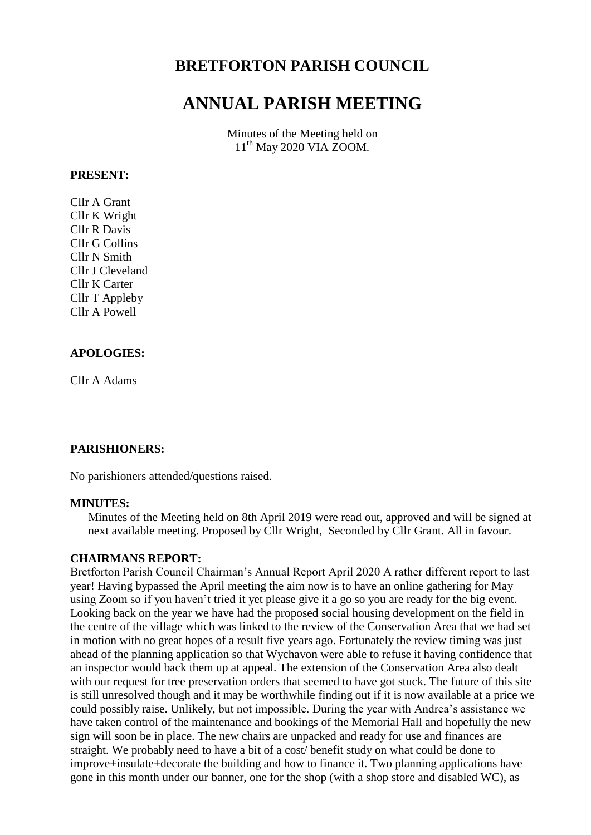# **BRETFORTON PARISH COUNCIL**

# **ANNUAL PARISH MEETING**

Minutes of the Meeting held on 11<sup>th</sup> May 2020 VIA ZOOM.

#### **PRESENT:**

Cllr A Grant Cllr K Wright Cllr R Davis Cllr G Collins Cllr N Smith Cllr J Cleveland Cllr K Carter Cllr T Appleby Cllr A Powell

## **APOLOGIES:**

Cllr A Adams

## **PARISHIONERS:**

No parishioners attended/questions raised.

## **MINUTES:**

Minutes of the Meeting held on 8th April 2019 were read out, approved and will be signed at next available meeting. Proposed by Cllr Wright, Seconded by Cllr Grant. All in favour.

#### **CHAIRMANS REPORT:**

Bretforton Parish Council Chairman's Annual Report April 2020 A rather different report to last year! Having bypassed the April meeting the aim now is to have an online gathering for May using Zoom so if you haven't tried it yet please give it a go so you are ready for the big event. Looking back on the year we have had the proposed social housing development on the field in the centre of the village which was linked to the review of the Conservation Area that we had set in motion with no great hopes of a result five years ago. Fortunately the review timing was just ahead of the planning application so that Wychavon were able to refuse it having confidence that an inspector would back them up at appeal. The extension of the Conservation Area also dealt with our request for tree preservation orders that seemed to have got stuck. The future of this site is still unresolved though and it may be worthwhile finding out if it is now available at a price we could possibly raise. Unlikely, but not impossible. During the year with Andrea's assistance we have taken control of the maintenance and bookings of the Memorial Hall and hopefully the new sign will soon be in place. The new chairs are unpacked and ready for use and finances are straight. We probably need to have a bit of a cost/ benefit study on what could be done to improve+insulate+decorate the building and how to finance it. Two planning applications have gone in this month under our banner, one for the shop (with a shop store and disabled WC), as